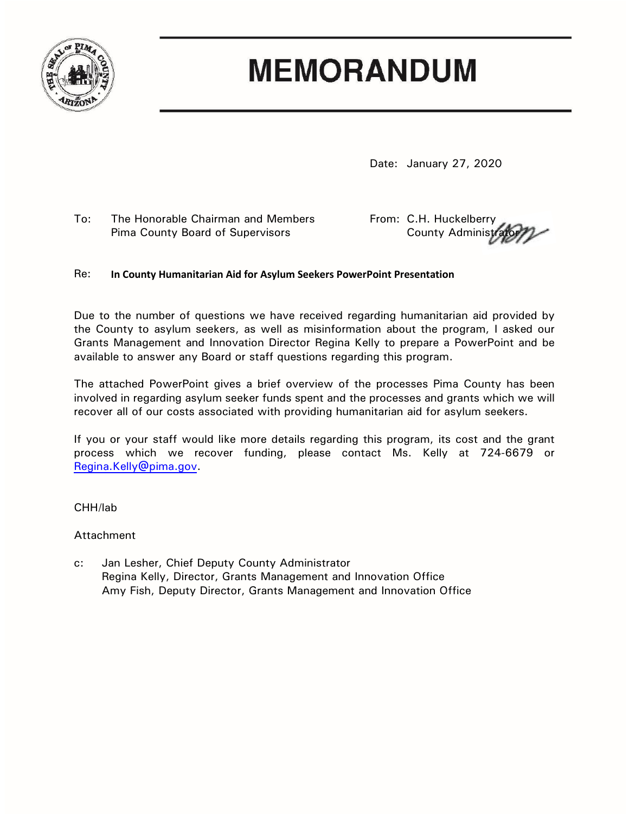

## **MEMORANDUM**

Date: January 27, 2020

To: The Honorable Chairman and Members From: C.H. Huckelberry Pima County Board of Supervisors **County Administrator** County Administration

### Re: **In County Humanitarian Aid for Asylum Seekers PowerPoint Presentation**

Due to the number of questions we have received regarding humanitarian aid provided by the County to asylum seekers, as well as misinformation about the program, I asked our Grants Management and Innovation Director Regina Kelly to prepare a PowerPoint and be available to answer any Board or staff questions regarding this program.

The attached PowerPoint gives a brief overview of the processes Pima County has been involved in regarding asylum seeker funds spent and the processes and grants which we will recover all of our costs associated with providing humanitarian aid for asylum seekers.

If you or your staff would like more details regarding this program, its cost and the grant process which we recover funding, please contact Ms. Kelly at 724-6679 or [Regina.Kelly@pima.gov.](mailto:Regina.Kelly@pima.gov)

#### CHH/lab

#### Attachment

c: Jan Lesher, Chief Deputy County Administrator Regina Kelly, Director, Grants Management and Innovation Office Amy Fish, Deputy Director, Grants Management and Innovation Office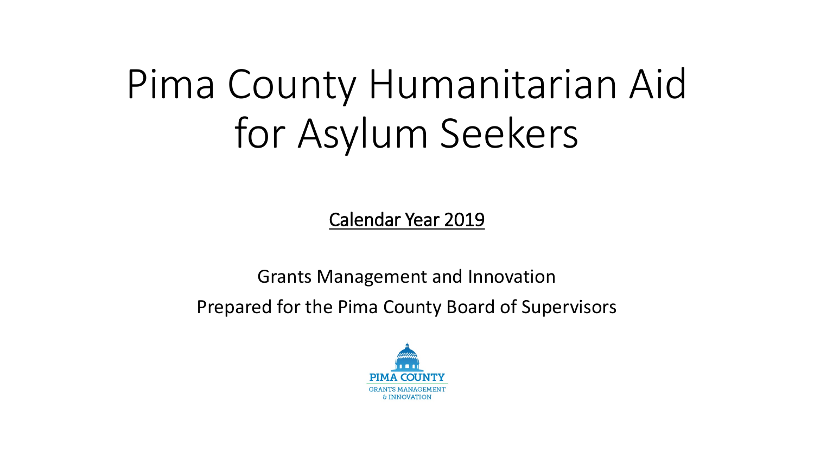# Pima County Humanitarian Aid for Asylum Seekers

Calendar Year 2019

Grants Management and Innovation Prepared for the Pima County Board of Supervisors

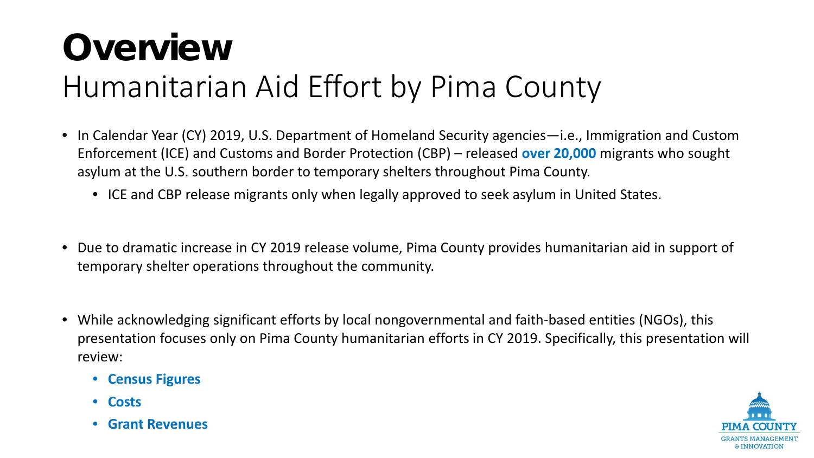# **Overview** Humanitarian Aid Effort by Pima County

- In Calendar Year (CY) 2019, U.S. Department of Homeland Security agencies—i.e., Immigration and Custom Enforcement (ICE) and Customs and Border Protection (CBP) – released **over 20,000** migrants who sought asylum at the U.S. southern border to temporary shelters throughout Pima County.
	- ICE and CBP release migrants only when legally approved to seek asylum in United States.
- Due to dramatic increase in CY 2019 release volume, Pima County provides humanitarian aid in support of temporary shelter operations throughout the community.
- While acknowledging significant efforts by local nongovernmental and faith-based entities (NGOs), this presentation focuses only on Pima County humanitarian efforts in CY 2019. Specifically, this presentation will review:
	- **Census Figures**
	- **Costs**
	- **Grant Revenues**

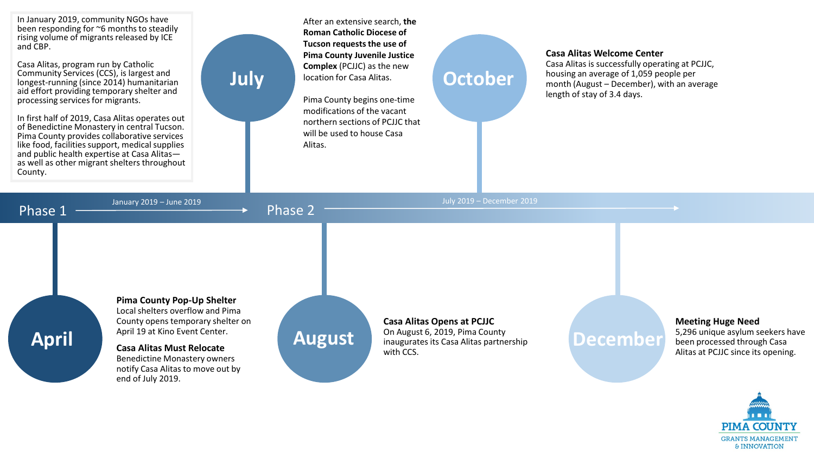In January 2019, community NGOs have been responding for ~6 months to steadily rising volume of migrants released by ICE and CBP.

Casa Alitas, program run by Catholic Community Services (CCS), is largest and longest-running (since 2014) humanitarian aid effort providing temporary shelter and processing services for migrants.

In first half of 2019, Casa Alitas operates out of Benedictine Monastery in central Tucson. Pima County provides collaborative services like food, facilities support, medical supplies<br>and public health expertise at Casa Alitasas well as other migrant shelters throughout County.

**April**

After an extensive search, **the Roman Catholic Diocese of Tucson requests the use of Pima County Juvenile Justice Complex** (PCJJC) as the new location for Casa Alitas.

Pima County begins one-time modifications of the vacant northern sections of PCJJC that will be used to house Casa Alitas.

## **October**

#### **Casa Alitas Welcome Center**

Casa Alitas is successfully operating at PCJJC, housing an average of 1,059 people per month (August – December), with an average length of stay of 3.4 days.

Phase  $1 \longrightarrow$   $\longrightarrow$  Phase 2

**July**

**Pima County Pop-Up Shelter**  Local shelters overflow and Pima County opens temporary shelter on April 19 at Kino Event Center.

**Casa Alitas Must Relocate**  Benedictine Monastery owners notify Casa Alitas to move out by end of July 2019.



January 2019 – June 2019 July 2019 – December 2019

**Casa Alitas Opens at PCJJC** On August 6, 2019, Pima County

inaugurates its Casa Alitas partnership with CCS.

### **December**

**Meeting Huge Need** 5,296 unique asylum seekers have been processed through Casa Alitas at PCJJC since its opening.

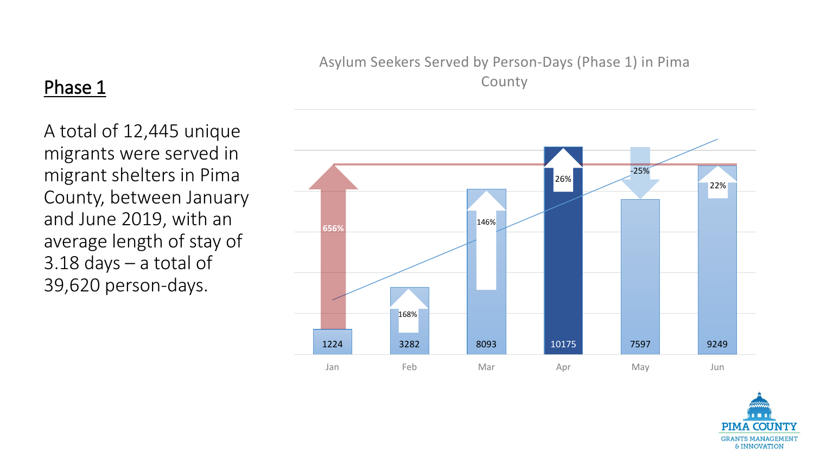### Asylum Seekers Served by Person-Days (Phase 1) in Pima County

### A total of 12,445 unique migrants were served in migrant shelters in Pima County, between January and June 2019, with an average length of stay of 3.18 days – a total of 39,620 person-days.

Phase 1



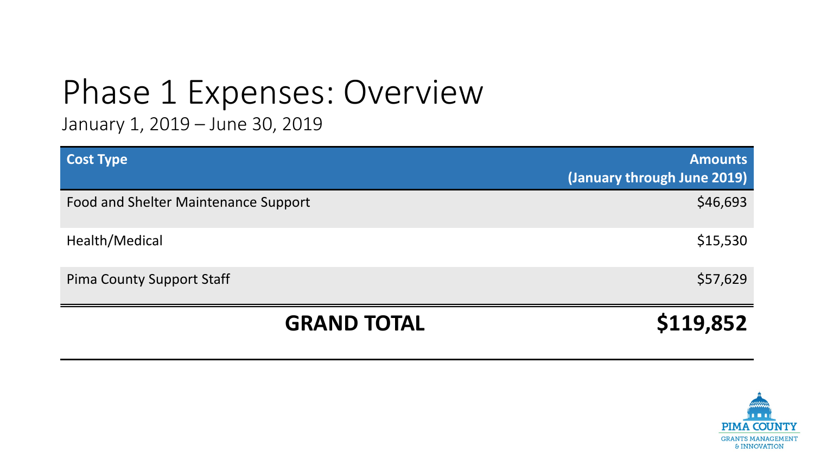# Phase 1 Expenses: Overview

January 1, 2019 – June 30, 2019

| <b>Cost Type</b>                     | <b>Amounts</b><br>(January through June 2019) |
|--------------------------------------|-----------------------------------------------|
| Food and Shelter Maintenance Support | \$46,693                                      |
| Health/Medical                       | \$15,530                                      |
| <b>Pima County Support Staff</b>     | \$57,629                                      |
| <b>GRAND TOTAL</b>                   | \$119,852                                     |

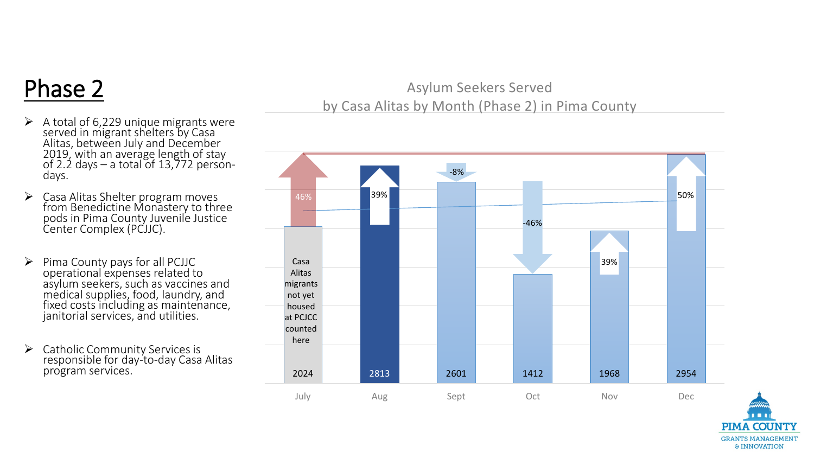## Phase 2

- A total of 6,229 unique migrants were served in migrant shelters by Casa Alitas, between July and December 2019, with an average length of stay of 2.2 days – a total of 13,772 person-<br>days.
- $\triangleright$  Casa Alitas Shelter program moves from Benedictine Monastery to three<br>pods in Pima County Juvenile Justice Center Complex (PCJJC).
- $\triangleright$  Pima County pays for all PCJJC operational expenses related to asylum seekers, such as vaccines and medical supplies, food, laundry, and fixed costs including as maintenance, janitorial services, and utilities.
- $\triangleright$  Catholic Community Services is responsible for day-to-day Casa Alitas program services.

### Asylum Seekers Served by Casa Alitas by Month (Phase 2) in Pima County



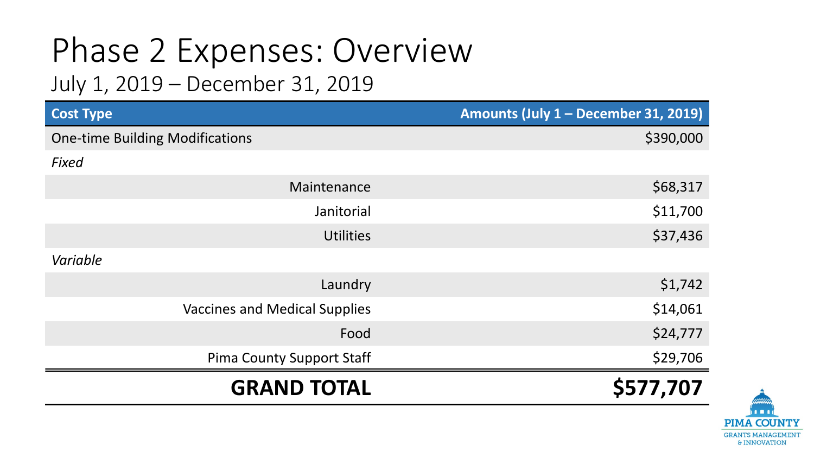# Phase 2 Expenses: Overview

### July 1, 2019 – December 31, 2019

| <b>Cost Type</b>                       | Amounts (July 1 - December 31, 2019) |
|----------------------------------------|--------------------------------------|
| <b>One-time Building Modifications</b> | \$390,000                            |
| Fixed                                  |                                      |
| Maintenance                            | \$68,317                             |
| Janitorial                             | \$11,700                             |
| <b>Utilities</b>                       | \$37,436                             |
| Variable                               |                                      |
| Laundry                                | \$1,742                              |
| <b>Vaccines and Medical Supplies</b>   | \$14,061                             |
| Food                                   | \$24,777                             |
| <b>Pima County Support Staff</b>       | \$29,706                             |
| <b>GRAND TOTAL</b>                     | \$577,707                            |

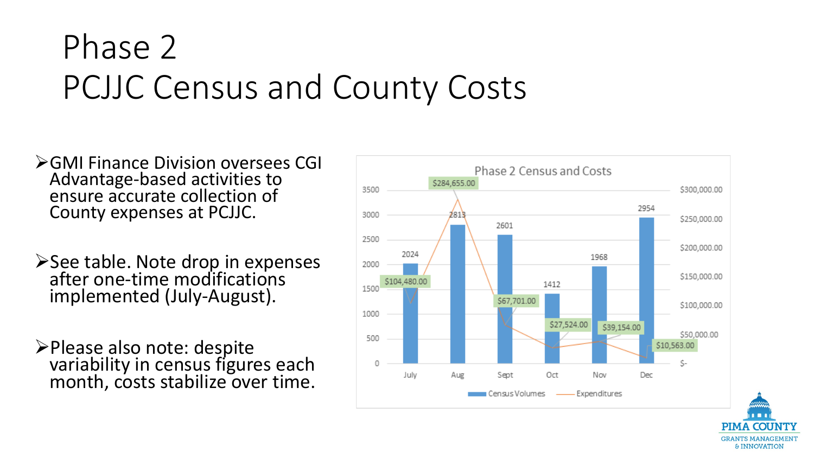## Phase 2 PCJJC Census and County Costs

- **EXAMI Finance Division oversees CGI** Advantage-based activities to ensure accurate collection of County expenses at PCJJC.
- ≻See table. Note drop in expenses after one-time modifications implemented (July-August).
- Please also note: despite variability in census figures each month, costs stabilize over time.



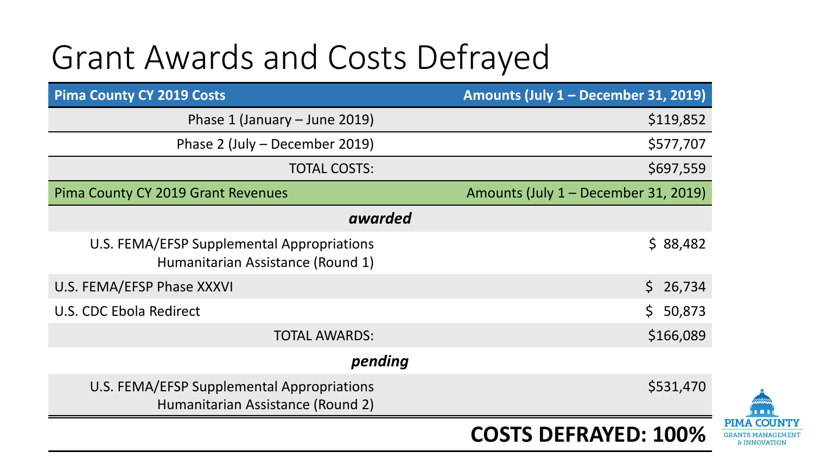## Grant Awards and Costs Defrayed

| <b>Pima County CY 2019 Costs</b>                                                | Amounts (July 1 - December 31, 2019) |  |
|---------------------------------------------------------------------------------|--------------------------------------|--|
| Phase 1 (January $-$ June 2019)                                                 | \$119,852                            |  |
| Phase 2 (July – December 2019)                                                  | \$577,707                            |  |
| <b>TOTAL COSTS:</b>                                                             | \$697,559                            |  |
| Pima County CY 2019 Grant Revenues                                              | Amounts (July 1 – December 31, 2019) |  |
| awarded                                                                         |                                      |  |
| U.S. FEMA/EFSP Supplemental Appropriations<br>Humanitarian Assistance (Round 1) | \$88,482                             |  |
| U.S. FEMA/EFSP Phase XXXVI                                                      | \$26,734                             |  |
| U.S. CDC Ebola Redirect                                                         | \$50,873                             |  |
| <b>TOTAL AWARDS:</b>                                                            | \$166,089                            |  |
| pending                                                                         |                                      |  |
| U.S. FEMA/EFSP Supplemental Appropriations<br>Humanitarian Assistance (Round 2) | \$531,470                            |  |
|                                                                                 | <b>COSTS DEFRAYED: 100%</b>          |  |

**PIMA COUI GRANTS MANAGEMENT & INNOVATION**